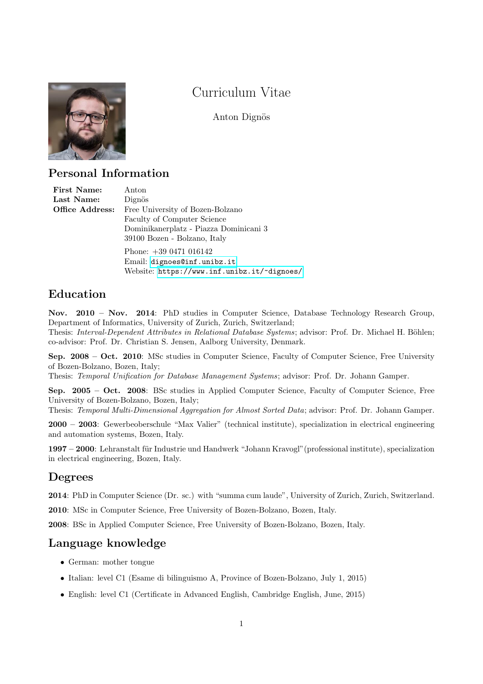

# Curriculum Vitae

Anton Dignös

## Personal Information

| First Name:     | Anton                                  |
|-----------------|----------------------------------------|
| Last Name:      | Dignös                                 |
| Office Address: | Free University of Bozen-Bolzano       |
|                 | Faculty of Computer Science            |
|                 | Dominikanerplatz - Piazza Dominicani 3 |
|                 | 39100 Bozen - Bolzano, Italy           |
|                 | Phone: $+390471016142$                 |
|                 | Email: dignoes@inf.unibz.it            |

Website: <https://www.inf.unibz.it/~dignoes/>

# Education

Nov. 2010 – Nov. 2014: PhD studies in Computer Science, Database Technology Research Group, Department of Informatics, University of Zurich, Zurich, Switzerland;

Thesis: Interval-Dependent Attributes in Relational Database Systems; advisor: Prof. Dr. Michael H. Böhlen; co-advisor: Prof. Dr. Christian S. Jensen, Aalborg University, Denmark.

Sep. 2008 – Oct. 2010: MSc studies in Computer Science, Faculty of Computer Science, Free University of Bozen-Bolzano, Bozen, Italy;

Thesis: Temporal Unification for Database Management Systems; advisor: Prof. Dr. Johann Gamper.

Sep. 2005 – Oct. 2008: BSc studies in Applied Computer Science, Faculty of Computer Science, Free University of Bozen-Bolzano, Bozen, Italy;

Thesis: Temporal Multi-Dimensional Aggregation for Almost Sorted Data; advisor: Prof. Dr. Johann Gamper.

2000 – 2003: Gewerbeoberschule "Max Valier" (technical institute), specialization in electrical engineering and automation systems, Bozen, Italy.

1997 – 2000: Lehranstalt f¨ur Industrie und Handwerk "Johann Kravogl"(professional institute), specialization in electrical engineering, Bozen, Italy.

# Degrees

2014: PhD in Computer Science (Dr. sc.) with "summa cum laude", University of Zurich, Zurich, Switzerland.

2010: MSc in Computer Science, Free University of Bozen-Bolzano, Bozen, Italy.

2008: BSc in Applied Computer Science, Free University of Bozen-Bolzano, Bozen, Italy.

# Language knowledge

- German: mother tongue
- Italian: level C1 (Esame di bilinguismo A, Province of Bozen-Bolzano, July 1, 2015)
- English: level C1 (Certificate in Advanced English, Cambridge English, June, 2015)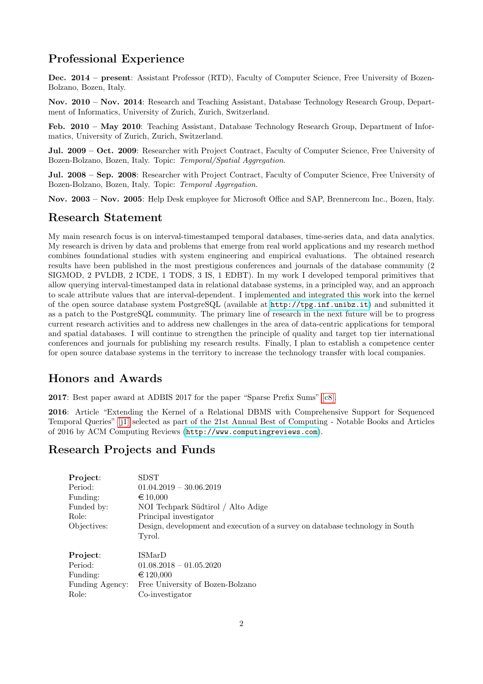# Professional Experience

Dec. 2014 – present: Assistant Professor (RTD), Faculty of Computer Science, Free University of Bozen-Bolzano, Bozen, Italy.

Nov. 2010 – Nov. 2014: Research and Teaching Assistant, Database Technology Research Group, Department of Informatics, University of Zurich, Zurich, Switzerland.

Feb. 2010 – May 2010: Teaching Assistant, Database Technology Research Group, Department of Informatics, University of Zurich, Zurich, Switzerland.

Jul. 2009 – Oct. 2009: Researcher with Project Contract, Faculty of Computer Science, Free University of Bozen-Bolzano, Bozen, Italy. Topic: Temporal/Spatial Aggregation.

Jul. 2008 – Sep. 2008: Researcher with Project Contract, Faculty of Computer Science, Free University of Bozen-Bolzano, Bozen, Italy. Topic: Temporal Aggregation.

Nov. 2003 – Nov. 2005: Help Desk employee for Microsoft Office and SAP, Brennercom Inc., Bozen, Italy.

### Research Statement

My main research focus is on interval-timestamped temporal databases, time-series data, and data analytics. My research is driven by data and problems that emerge from real world applications and my research method combines foundational studies with system engineering and empirical evaluations. The obtained research results have been published in the most prestigious conferences and journals of the database community (2 SIGMOD, 2 PVLDB, 2 ICDE, 1 TODS, 3 IS, 1 EDBT). In my work I developed temporal primitives that allow querying interval-timestamped data in relational database systems, in a principled way, and an approach to scale attribute values that are interval-dependent. I implemented and integrated this work into the kernel of the open source database system PostgreSQL (available at <http://tpg.inf.unibz.it>) and submitted it as a patch to the PostgreSQL community. The primary line of research in the next future will be to progress current research activities and to address new challenges in the area of data-centric applications for temporal and spatial databases. I will continue to strengthen the principle of quality and target top tier international conferences and journals for publishing my research results. Finally, I plan to establish a competence center for open source database systems in the territory to increase the technology transfer with local companies.

# Honors and Awards

2017: Best paper award at ADBIS 2017 for the paper "Sparse Prefix Sums" [\[c8\].](#page-4-0)

2016: Article "Extending the Kernel of a Relational DBMS with Comprehensive Support for Sequenced Temporal Queries" [\[j1\]](#page-3-0) selected as part of the 21st Annual Best of Computing - Notable Books and Articles of 2016 by ACM Computing Reviews (<http://www.computingreviews.com>).

## Research Projects and Funds

| Project:<br>Period:<br>Funding:<br>Funded by:<br>Role:<br>Objectives: | <b>SDST</b><br>$01.04.2019 - 30.06.2019$<br>$\epsilon$ 10,000<br>NOI Techpark Südtirol / Alto Adige<br>Principal investigator<br>Design, development and execution of a survey on database technology in South<br>Tyrol. |
|-----------------------------------------------------------------------|--------------------------------------------------------------------------------------------------------------------------------------------------------------------------------------------------------------------------|
| Project:                                                              | ISMarD                                                                                                                                                                                                                   |
| Period:                                                               | $01.08.2018 - 01.05.2020$                                                                                                                                                                                                |
| Funding:                                                              | €120,000                                                                                                                                                                                                                 |
| Funding Agency:                                                       | Free University of Bozen-Bolzano                                                                                                                                                                                         |
| Role:                                                                 | Co-investigator                                                                                                                                                                                                          |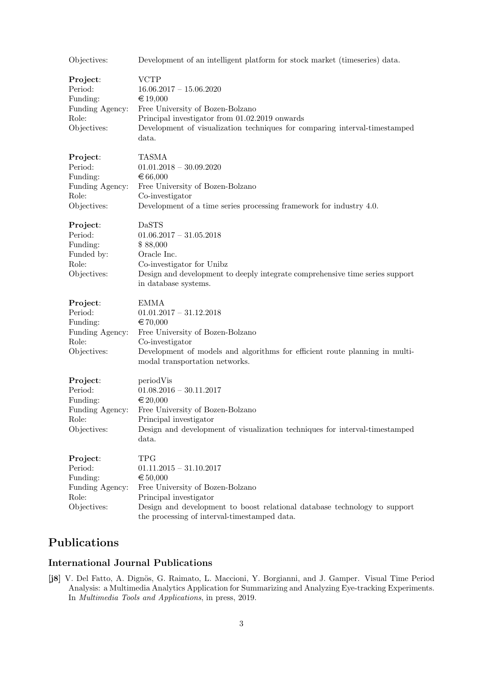| Objectives:                                                                | Development of an intelligent platform for stock market (timeseries) data.                                                                                                                                                                       |
|----------------------------------------------------------------------------|--------------------------------------------------------------------------------------------------------------------------------------------------------------------------------------------------------------------------------------------------|
| Project:<br>Period:<br>Funding:<br>Funding Agency:<br>Role:<br>Objectives: | <b>VCTP</b><br>$16.06.2017 - 15.06.2020$<br>€ 19,000<br>Free University of Bozen-Bolzano<br>Principal investigator from 01.02.2019 onwards<br>Development of visualization techniques for comparing interval-timestamped<br>data.                |
| Project:<br>Period:<br>Funding:<br>Funding Agency:<br>Role:<br>Objectives: | TASMA<br>$01.01.2018 - 30.09.2020$<br>€ 66,000<br>Free University of Bozen-Bolzano<br>Co-investigator<br>Development of a time series processing framework for industry 4.0.                                                                     |
| Project:<br>Period:<br>Funding:<br>Funded by:<br>Role:<br>Objectives:      | <b>DaSTS</b><br>$01.06.2017 - 31.05.2018$<br>\$88,000<br>Oracle Inc.<br>Co-investigator for Unibz<br>Design and development to deeply integrate comprehensive time series support<br>in database systems.                                        |
| Project:<br>Period:<br>Funding:<br>Funding Agency:<br>Role:<br>Objectives: | <b>EMMA</b><br>$01.01.2017 - 31.12.2018$<br>€ 70,000<br>Free University of Bozen-Bolzano<br>Co-investigator<br>Development of models and algorithms for efficient route planning in multi-<br>modal transportation networks.                     |
| Project:<br>Period:<br>Funding:<br>Funding Agency:<br>Role:<br>Objectives: | periodVis<br>$01.08.2016 - 30.11.2017$<br>€ 20,000<br>Free University of Bozen-Bolzano<br>Principal investigator<br>Design and development of visualization techniques for interval-timestamped<br>data.                                         |
| Project:<br>Period:<br>Funding:<br>Funding Agency:<br>Role:<br>Objectives: | <b>TPG</b><br>$01.11.2015 - 31.10.2017$<br>€ $50,000$<br>Free University of Bozen-Bolzano<br>Principal investigator<br>Design and development to boost relational database technology to support<br>the processing of interval-timestamped data. |

# Publications

### International Journal Publications

[j8] V. Del Fatto, A. Dignös, G. Raimato, L. Maccioni, Y. Borgianni, and J. Gamper. Visual Time Period Analysis: a Multimedia Analytics Application for Summarizing and Analyzing Eye-tracking Experiments. In Multimedia Tools and Applications, in press, 2019.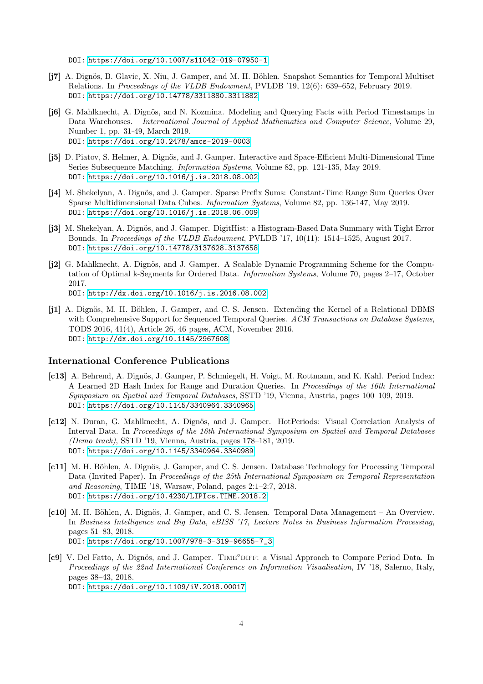DOI:<https://doi.org/10.1007/s11042-019-07950-1>

- [j7] A. Dignös, B. Glavic, X. Niu, J. Gamper, and M. H. Böhlen. Snapshot Semantics for Temporal Multiset Relations. In Proceedings of the VLDB Endowment, PVLDB '19, 12(6): 639–652, February 2019. DOI:<https://doi.org/10.14778/3311880.3311882>
- [j6] G. Mahlknecht, A. Dignös, and N. Kozmina. Modeling and Querving Facts with Period Timestamps in Data Warehouses. International Journal of Applied Mathematics and Computer Science, Volume 29, Number 1, pp. 31-49, March 2019. DOI:<https://doi.org/10.2478/amcs-2019-0003>
- [j5] D. Piatov, S. Helmer, A. Dignös, and J. Gamper. Interactive and Space-Efficient Multi-Dimensional Time Series Subsequence Matching. Information Systems, Volume 82, pp. 121-135, May 2019. DOI:<https://doi.org/10.1016/j.is.2018.08.002>
- [j4] M. Shekelyan, A. Dignös, and J. Gamper. Sparse Prefix Sums: Constant-Time Range Sum Queries Over Sparse Multidimensional Data Cubes. Information Systems, Volume 82, pp. 136-147, May 2019. DOI:<https://doi.org/10.1016/j.is.2018.06.009>
- [j3] M. Shekelyan, A. Dignös, and J. Gamper. DigitHist: a Histogram-Based Data Summary with Tight Error Bounds. In Proceedings of the VLDB Endowment, PVLDB '17, 10(11): 1514–1525, August 2017. DOI:<https://doi.org/10.14778/3137628.3137658>
- [**i2**] G. Mahlknecht, A. Dignös, and J. Gamper. A Scalable Dynamic Programming Scheme for the Computation of Optimal k-Segments for Ordered Data. Information Systems, Volume 70, pages 2–17, October 2017. DOI:<http://dx.doi.org/10.1016/j.is.2016.08.002>
- <span id="page-3-0"></span>[j1] A. Dignös, M. H. Böhlen, J. Gamper, and C. S. Jensen. Extending the Kernel of a Relational DBMS with Comprehensive Support for Sequenced Temporal Queries. ACM Transactions on Database Systems, TODS 2016, 41(4), Article 26, 46 pages, ACM, November 2016. DOI:<http://dx.doi.org/10.1145/2967608>

### International Conference Publications

- [c13] A. Behrend, A. Dignös, J. Gamper, P. Schmiegelt, H. Voigt, M. Rottmann, and K. Kahl. Period Index: A Learned 2D Hash Index for Range and Duration Queries. In Proceedings of the 16th International Symposium on Spatial and Temporal Databases, SSTD '19, Vienna, Austria, pages 100–109, 2019. DOI:<https://doi.org/10.1145/3340964.3340965>
- [c12] N. Duran, G. Mahlknecht, A. Dignös, and J. Gamper. HotPeriods: Visual Correlation Analysis of Interval Data. In Proceedings of the 16th International Symposium on Spatial and Temporal Databases (Demo track), SSTD '19, Vienna, Austria, pages 178–181, 2019. DOI:<https://doi.org/10.1145/3340964.3340989>
- [c11] M. H. Böhlen, A. Dignös, J. Gamper, and C. S. Jensen. Database Technology for Processing Temporal Data (Invited Paper). In Proceedings of the 25th International Symposium on Temporal Representation and Reasoning, TIME '18, Warsaw, Poland, pages 2:1–2:7, 2018. DOI:<https://doi.org/10.4230/LIPIcs.TIME.2018.2>
- [c10] M. H. Böhlen, A. Dignös, J. Gamper, and C. S. Jensen. Temporal Data Management An Overview. In Business Intelligence and Big Data, eBISS '17, Lecture Notes in Business Information Processing, pages 51–83, 2018. DOI: [https://doi.org/10.1007/978-3-319-96655-7\\_3](https://doi.org/10.1007/978-3-319-96655-7_3)
- [c9] V. Del Fatto, A. Dignös, and J. Gamper. TIME<sup>°</sup>DIFF: a Visual Approach to Compare Period Data. In Proceedings of the 22nd International Conference on Information Visualisation, IV '18, Salerno, Italy, pages 38–43, 2018. DOI:<https://doi.org/10.1109/iV.2018.00017>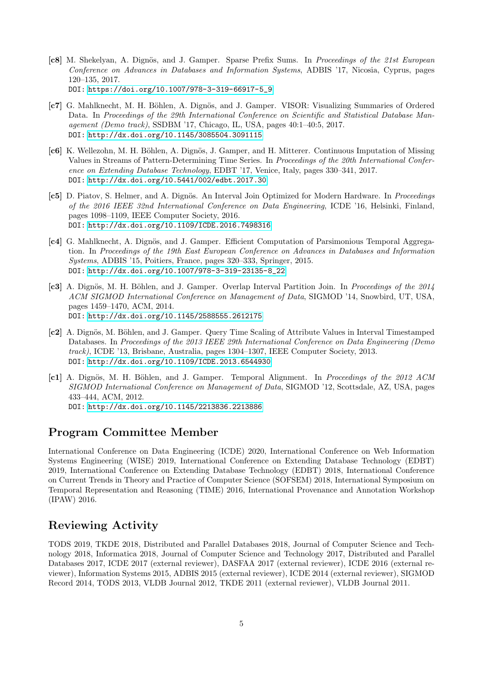- <span id="page-4-0"></span>[c8] M. Shekelyan, A. Dignös, and J. Gamper. Sparse Prefix Sums. In Proceedings of the 21st European Conference on Advances in Databases and Information Systems, ADBIS '17, Nicosia, Cyprus, pages 120–135, 2017. DOI: [https://doi.org/10.1007/978-3-319-66917-5\\_9](https://doi.org/10.1007/978-3-319-66917-5_9)
- [c7] G. Mahlknecht, M. H. Böhlen, A. Dignös, and J. Gamper. VISOR: Visualizing Summaries of Ordered Data. In Proceedings of the 29th International Conference on Scientific and Statistical Database Management (Demo track), SSDBM '17, Chicago, IL, USA, pages 40:1–40:5, 2017. DOI:<http://dx.doi.org/10.1145/3085504.3091115>
- [c6] K. Wellezohn, M. H. Böhlen, A. Dignös, J. Gamper, and H. Mitterer. Continuous Imputation of Missing Values in Streams of Pattern-Determining Time Series. In Proceedings of the 20th International Conference on Extending Database Technology, EDBT '17, Venice, Italy, pages 330–341, 2017. DOI:<http://dx.doi.org/10.5441/002/edbt.2017.30>
- [c5] D. Piatov, S. Helmer, and A. Dignös. An Interval Join Optimized for Modern Hardware. In *Proceedings* of the 2016 IEEE 32nd International Conference on Data Engineering, ICDE '16, Helsinki, Finland, pages 1098–1109, IEEE Computer Society, 2016. DOI:<http://dx.doi.org/10.1109/ICDE.2016.7498316>
- [c4] G. Mahlknecht, A. Dignös, and J. Gamper. Efficient Computation of Parsimonious Temporal Aggregation. In Proceedings of the 19th East European Conference on Advances in Databases and Information Systems, ADBIS '15, Poitiers, France, pages 320–333, Springer, 2015. DOI: [http://dx.doi.org/10.1007/978-3-319-23135-8\\_22](http://dx.doi.org/10.1007/978-3-319-23135-8_22)
- [c3] A. Dignös, M. H. Böhlen, and J. Gamper. Overlap Interval Partition Join. In Proceedings of the 2014 ACM SIGMOD International Conference on Management of Data, SIGMOD '14, Snowbird, UT, USA, pages 1459–1470, ACM, 2014. DOI:<http://dx.doi.org/10.1145/2588555.2612175>
- [c2] A. Dignös, M. Böhlen, and J. Gamper. Query Time Scaling of Attribute Values in Interval Timestamped Databases. In Proceedings of the 2013 IEEE 29th International Conference on Data Engineering (Demo track), ICDE '13, Brisbane, Australia, pages 1304–1307, IEEE Computer Society, 2013. DOI:<http://dx.doi.org/10.1109/ICDE.2013.6544930>
- [c1] A. Dignös, M. H. Böhlen, and J. Gamper. Temporal Alignment. In Proceedings of the 2012 ACM SIGMOD International Conference on Management of Data, SIGMOD '12, Scottsdale, AZ, USA, pages 433–444, ACM, 2012. DOI:<http://dx.doi.org/10.1145/2213836.2213886>

# Program Committee Member

International Conference on Data Engineering (ICDE) 2020, International Conference on Web Information Systems Engineering (WISE) 2019, International Conference on Extending Database Technology (EDBT) 2019, International Conference on Extending Database Technology (EDBT) 2018, International Conference on Current Trends in Theory and Practice of Computer Science (SOFSEM) 2018, International Symposium on Temporal Representation and Reasoning (TIME) 2016, International Provenance and Annotation Workshop (IPAW) 2016.

# Reviewing Activity

TODS 2019, TKDE 2018, Distributed and Parallel Databases 2018, Journal of Computer Science and Technology 2018, Informatica 2018, Journal of Computer Science and Technology 2017, Distributed and Parallel Databases 2017, ICDE 2017 (external reviewer), DASFAA 2017 (external reviewer), ICDE 2016 (external reviewer), Information Systems 2015, ADBIS 2015 (external reviewer), ICDE 2014 (external reviewer), SIGMOD Record 2014, TODS 2013, VLDB Journal 2012, TKDE 2011 (external reviewer), VLDB Journal 2011.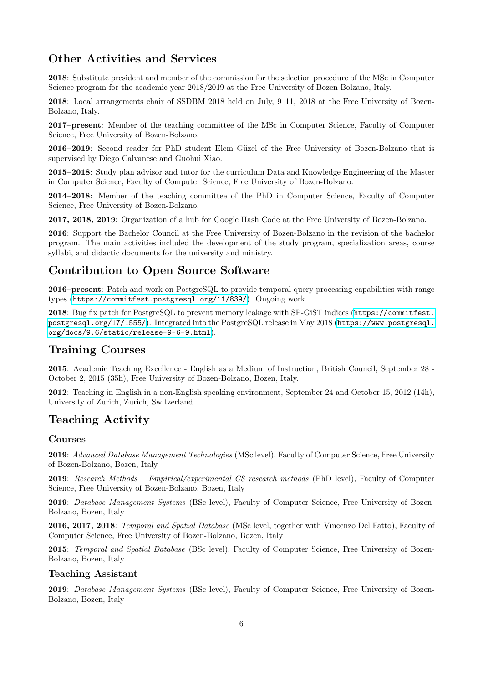# Other Activities and Services

2018: Substitute president and member of the commission for the selection procedure of the MSc in Computer Science program for the academic year 2018/2019 at the Free University of Bozen-Bolzano, Italy.

2018: Local arrangements chair of SSDBM 2018 held on July, 9–11, 2018 at the Free University of Bozen-Bolzano, Italy.

2017–present: Member of the teaching committee of the MSc in Computer Science, Faculty of Computer Science, Free University of Bozen-Bolzano.

2016–2019: Second reader for PhD student Elem Güzel of the Free University of Bozen-Bolzano that is supervised by Diego Calvanese and Guohui Xiao.

2015–2018: Study plan advisor and tutor for the curriculum Data and Knowledge Engineering of the Master in Computer Science, Faculty of Computer Science, Free University of Bozen-Bolzano.

2014–2018: Member of the teaching committee of the PhD in Computer Science, Faculty of Computer Science, Free University of Bozen-Bolzano.

2017, 2018, 2019: Organization of a hub for Google Hash Code at the Free University of Bozen-Bolzano.

2016: Support the Bachelor Council at the Free University of Bozen-Bolzano in the revision of the bachelor program. The main activities included the development of the study program, specialization areas, course syllabi, and didactic documents for the university and ministry.

## Contribution to Open Source Software

2016–present: Patch and work on PostgreSQL to provide temporal query processing capabilities with range types (<https://commitfest.postgresql.org/11/839/>). Ongoing work.

2018: Bug fix patch for PostgreSQL to prevent memory leakage with SP-GiST indices ([https://commitfest.](https://commitfest.postgresql.org/17/1555/) [postgresql.org/17/1555/](https://commitfest.postgresql.org/17/1555/)). Integrated into the PostgreSQL release in May 2018 ([https://www.postgresql.](https://www.postgresql.org/docs/9.6/static/release-9-6-9.html) [org/docs/9.6/static/release-9-6-9.html](https://www.postgresql.org/docs/9.6/static/release-9-6-9.html)).

# Training Courses

2015: Academic Teaching Excellence - English as a Medium of Instruction, British Council, September 28 - October 2, 2015 (35h), Free University of Bozen-Bolzano, Bozen, Italy.

2012: Teaching in English in a non-English speaking environment, September 24 and October 15, 2012 (14h), University of Zurich, Zurich, Switzerland.

# Teaching Activity

### Courses

2019: Advanced Database Management Technologies (MSc level), Faculty of Computer Science, Free University of Bozen-Bolzano, Bozen, Italy

2019: Research Methods – Empirical/experimental CS research methods (PhD level), Faculty of Computer Science, Free University of Bozen-Bolzano, Bozen, Italy

2019: Database Management Systems (BSc level), Faculty of Computer Science, Free University of Bozen-Bolzano, Bozen, Italy

2016, 2017, 2018: Temporal and Spatial Database (MSc level, together with Vincenzo Del Fatto), Faculty of Computer Science, Free University of Bozen-Bolzano, Bozen, Italy

2015: Temporal and Spatial Database (BSc level), Faculty of Computer Science, Free University of Bozen-Bolzano, Bozen, Italy

### Teaching Assistant

2019: Database Management Systems (BSc level), Faculty of Computer Science, Free University of Bozen-Bolzano, Bozen, Italy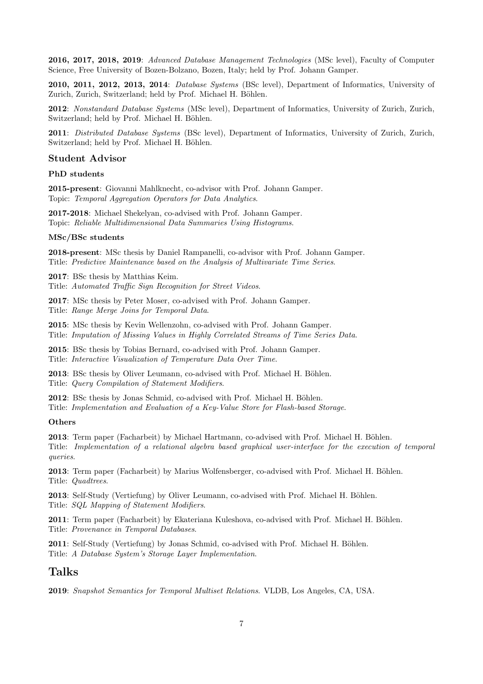2016, 2017, 2018, 2019: Advanced Database Management Technologies (MSc level), Faculty of Computer Science, Free University of Bozen-Bolzano, Bozen, Italy; held by Prof. Johann Gamper.

2010, 2011, 2012, 2013, 2014: Database Systems (BSc level), Department of Informatics, University of Zurich, Zurich, Switzerland; held by Prof. Michael H. Böhlen.

2012: Nonstandard Database Systems (MSc level), Department of Informatics, University of Zurich, Zurich, Switzerland; held by Prof. Michael H. Böhlen.

2011: Distributed Database Systems (BSc level), Department of Informatics, University of Zurich, Zurich, Switzerland; held by Prof. Michael H. Böhlen.

#### Student Advisor

#### PhD students

2015-present: Giovanni Mahlknecht, co-advisor with Prof. Johann Gamper. Topic: Temporal Aggregation Operators for Data Analytics.

2017-2018: Michael Shekelyan, co-advised with Prof. Johann Gamper. Topic: Reliable Multidimensional Data Summaries Using Histograms.

#### MSc/BSc students

2018-present: MSc thesis by Daniel Rampanelli, co-advisor with Prof. Johann Gamper. Title: Predictive Maintenance based on the Analysis of Multivariate Time Series.

2017: BSc thesis by Matthias Keim.

Title: Automated Traffic Sign Recognition for Street Videos.

2017: MSc thesis by Peter Moser, co-advised with Prof. Johann Gamper. Title: Range Merge Joins for Temporal Data.

2015: MSc thesis by Kevin Wellenzohn, co-advised with Prof. Johann Gamper. Title: Imputation of Missing Values in Highly Correlated Streams of Time Series Data.

2015: BSc thesis by Tobias Bernard, co-advised with Prof. Johann Gamper. Title: Interactive Visualization of Temperature Data Over Time.

2013: BSc thesis by Oliver Leumann, co-advised with Prof. Michael H. Böhlen. Title: Query Compilation of Statement Modifiers.

2012: BSc thesis by Jonas Schmid, co-advised with Prof. Michael H. Böhlen.

Title: Implementation and Evaluation of a Key-Value Store for Flash-based Storage.

### **Others**

2013: Term paper (Facharbeit) by Michael Hartmann, co-advised with Prof. Michael H. Böhlen. Title: Implementation of a relational algebra based graphical user-interface for the execution of temporal queries.

2013: Term paper (Facharbeit) by Marius Wolfensberger, co-advised with Prof. Michael H. Böhlen. Title: Quadtrees.

2013: Self-Study (Vertiefung) by Oliver Leumann, co-advised with Prof. Michael H. Böhlen. Title: SQL Mapping of Statement Modifiers.

2011: Term paper (Facharbeit) by Ekateriana Kuleshova, co-advised with Prof. Michael H. Böhlen. Title: Provenance in Temporal Databases.

**2011**: Self-Study (Vertiefung) by Jonas Schmid, co-advised with Prof. Michael H. Böhlen. Title: A Database System's Storage Layer Implementation.

### Talks

2019: Snapshot Semantics for Temporal Multiset Relations. VLDB, Los Angeles, CA, USA.